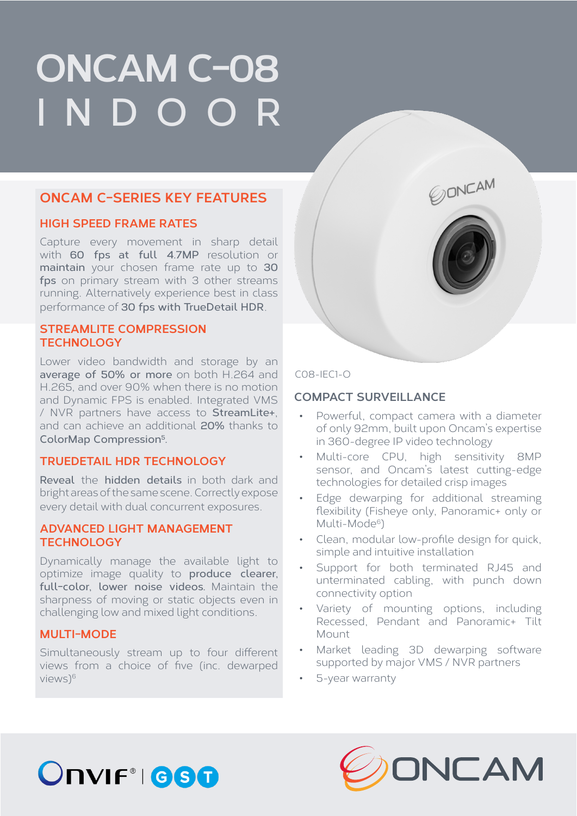# **ONCAM C-08 INDOOR**

### **ONCAM C-SERIES KEY FEATURES**

### **HIGH SPEED FRAME RATES**

Capture every movement in sharp detail with **60 fps at full 4.7MP** resolution or **maintain** your chosen frame rate up to **30 fps** on primary stream with 3 other streams running. Alternatively experience best in class performance of **30 fps with TrueDetail HDR**.

### **STREAMLITE COMPRESSION TECHNOLOGY**

Lower video bandwidth and storage by an **average of 50% or more** on both H.264 and H.265, and over 90% when there is no motion and Dynamic FPS is enabled. Integrated VMS / NVR partners have access to **StreamLite+**, and can achieve an additional **20%** thanks to **ColorMap Compression5.**

### **TRUEDETAIL HDR TECHNOLOGY**

**Reveal** the **hidden details** in both dark and bright areas of the same scene. Correctly expose every detail with dual concurrent exposures.

### **ADVANCED LIGHT MANAGEMENT TECHNOLOGY**

Dynamically manage the available light to optimize image quality to **produce clearer, full-color, lower noise videos.** Maintain the sharpness of moving or static objects even in challenging low and mixed light conditions.

### **MULTI-MODE**

Simultaneously stream up to four different views from a choice of five (inc. dewarped views)6

### C08-IEC1-O

### **COMPACT SURVEILLANCE**

• Powerful, compact camera with a diameter of only 92mm, built upon Oncam's expertise in 360-degree IP video technology

*CONCAM* 

- Multi-core CPU, high sensitivity 8MP sensor, and Oncam's latest cutting-edge technologies for detailed crisp images
- Edge dewarping for additional streaming flexibility (Fisheye only, Panoramic+ only or Multi-Mode<sup>6</sup>)
- Clean, modular low-profile design for quick, simple and intuitive installation
- Support for both terminated RJ45 and unterminated cabling, with punch down connectivity option
- Variety of mounting options, including Recessed, Pendant and Panoramic+ Tilt Mount
- Market leading 3D dewarping software supported by major VMS / NVR partners
- 5-year warranty



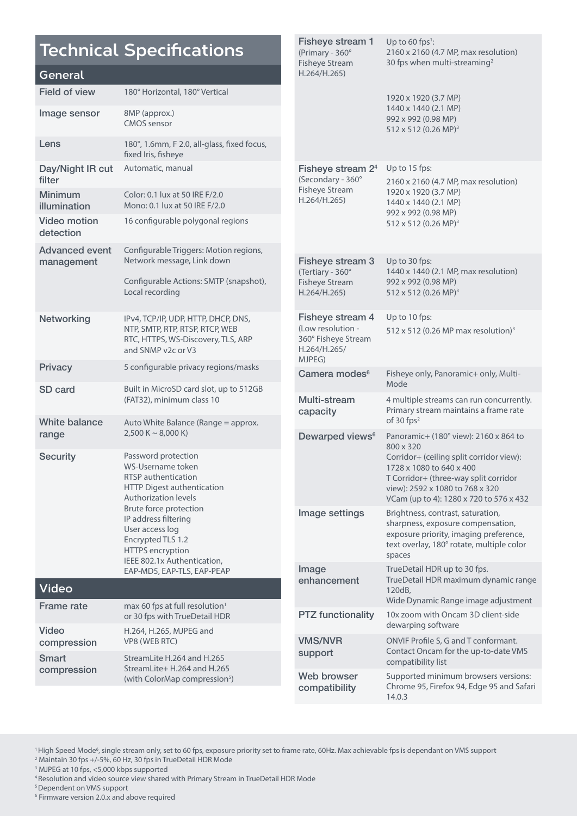## **Technical Specifications**

#### **General**

| <b>Field of view</b>                | 180° Horizontal, 180° Vertical                                                                                                                          |                                               |
|-------------------------------------|---------------------------------------------------------------------------------------------------------------------------------------------------------|-----------------------------------------------|
| Image sensor                        | 8MP (approx.)<br><b>CMOS</b> sensor                                                                                                                     |                                               |
| Lens                                | 180°, 1.6mm, F 2.0, all-glass, fixed focus,<br>fixed Iris, fisheye                                                                                      |                                               |
| Day/Night IR cut<br>filter          | Automatic, manual                                                                                                                                       | <b>Fishe</b><br>(Secon                        |
| <b>Minimum</b><br>illumination      | Color: 0.1 lux at 50 IRE F/2.0<br>Mono: 0.1 lux at 50 IRE F/2.0                                                                                         | Fisheye<br>H.264/                             |
| <b>Video motion</b><br>detection    | 16 configurable polygonal regions                                                                                                                       |                                               |
| <b>Advanced event</b><br>management | Configurable Triggers: Motion regions,<br>Network message, Link down<br>Configurable Actions: SMTP (snapshot),<br>Local recording                       | <b>Fishe</b><br>(Tertiar<br>Fisheye<br>H.264/ |
| Networking                          | IPv4, TCP/IP, UDP, HTTP, DHCP, DNS,<br>NTP, SMTP, RTP, RTSP, RTCP, WEB<br>RTC, HTTPS, WS-Discovery, TLS, ARP<br>and SNMP v2c or V3                      | <b>Fishe</b><br>(Low re<br>360° Fi:<br>H.264/ |
| <b>Privacy</b>                      | 5 configurable privacy regions/masks                                                                                                                    | <b>MJPEG</b><br>Came                          |
| <b>SD</b> card                      | Built in MicroSD card slot, up to 512GB<br>(FAT32), minimum class 10                                                                                    | Multi-<br>capad                               |
| White balance<br>range              | Auto White Balance (Range = approx.<br>$2,500 K \sim 8,000 K$                                                                                           | Dewa                                          |
| <b>Security</b>                     | Password protection<br>WS-Username token<br><b>RTSP</b> authentication<br>HTTP Digest authentication<br><b>Authorization levels</b>                     |                                               |
|                                     | <b>Brute force protection</b><br>IP address filtering<br>User access log<br>Encrypted TLS 1.2<br><b>HTTPS</b> encryption<br>IEEE 802.1x Authentication, | Image                                         |
| <b>Video</b>                        | EAP-MD5, EAP-TLS, EAP-PEAP                                                                                                                              | Image<br>enhar                                |
| <b>Frame rate</b>                   | max 60 fps at full resolution <sup>1</sup>                                                                                                              |                                               |
| <b>Video</b>                        | or 30 fps with TrueDetail HDR<br>H.264, H.265, MJPEG and                                                                                                | PTZ f                                         |
| compression<br><b>Smart</b>         | VP8 (WEB RTC)<br>StreamLite H.264 and H.265                                                                                                             | VMS/<br>suppo                                 |
| compression                         | StreamLite+ H.264 and H.265                                                                                                                             |                                               |

Fisheye Stream H.264/H.265) 30 fps when multi-streaming<sup>2</sup> 1920 x 1920 (3.7 MP) 1440 x 1440 (2.1 MP) 992 x 992 (0.98 MP) 512 x 512 (0.26 MP)3 Fisheye stream  $2^4$  Up to 15 fps:  $dary - 360^\circ$ e Stream  $H.265)$ 2160 x 2160 (4.7 MP, max resolution) 1920 x 1920 (3.7 MP) 1440 x 1440 (2.1 MP) 992 x 992 (0.98 MP) 512 x 512 (0.26 MP)3 Fisheye stream 3 Up to 30 fps:  $rv - 360°$ e Stream  $H.265)$ 1440 x 1440 (2.1 MP, max resolution) 992 x 992 (0.98 MP) 512 x 512 (0.26 MP)3 ye stream 4 esolution isheye Stream  $H.265/$ MJPEG) Up to 10 fps: 512 x 512 (0.26 MP max resolution)3 **Pra modes<sup>6</sup>** Fisheye only, Panoramic+ only, Multi-Mode stream city 4 multiple streams can run concurrently. Primary stream maintains a frame rate of 30 fps<sup>2</sup> rped views<sup>6</sup> Panoramic+ (180° view): 2160 x 864 to 800 x 320 Corridor+ (ceiling split corridor view): 1728 x 1080 to 640 x 400 T Corridor+ (three-way split corridor view): 2592 x 1080 to 768 x 320 VCam (up to 4): 1280 x 720 to 576 x 432 e settings Brightness, contrast, saturation, sharpness, exposure compensation, exposure priority, imaging preference, text overlay, 180° rotate, multiple color spaces Image **ncement** TrueDetail HDR up to 30 fps. TrueDetail HDR maximum dynamic range 120dB, Wide Dynamic Range image adjustment unctionality 10x zoom with Oncam 3D client-side dewarping software **NVR** ort ONVIF Profile S, G and T conformant. Contact Oncam for the up-to-date VMS compatibility list Web browser compatibility Supported minimum browsers versions: Chrome 95, Firefox 94, Edge 95 and Safari 14.0.3

Up to 60 fps $^1$ :

2160 x 2160 (4.7 MP, max resolution)

Fisheye stream 1 (Primary - 360°

<sup>1</sup> High Speed Mode<sup>6</sup>, single stream only, set to 60 fps, exposure priority set to frame rate, 60Hz. Max achievable fps is dependant on VMS support <sup>2</sup> Maintain 30 fps +/-5%, 60 Hz, 30 fps in TrueDetail HDR Mode

<sup>3</sup> MJPEG at 10 fps, <5,000 kbps supported

4 Resolution and video source view shared with Primary Stream in TrueDetail HDR Mode

(with ColorMap compression<sup>5</sup>)

5 Dependent on VMS support

6 Firmware version 2.0.x and above required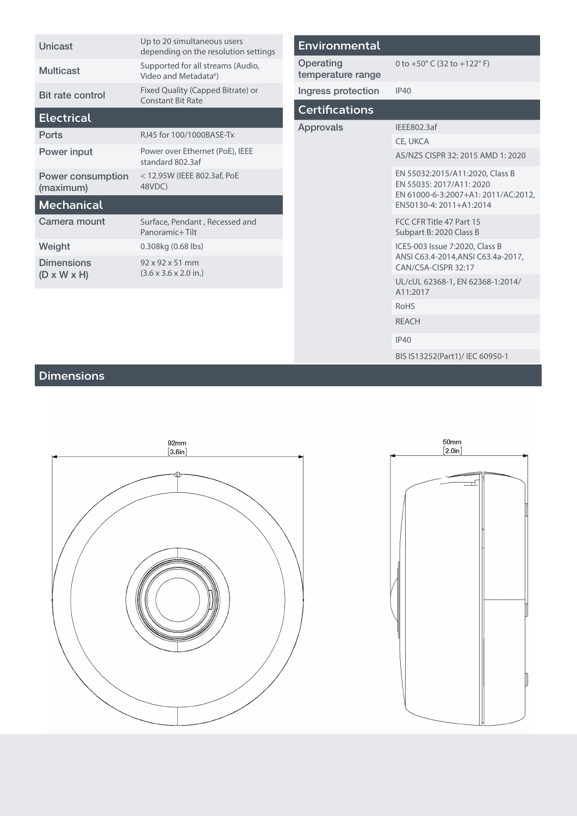| Unicast                                      | Up to 20 simultaneous users<br>depending on the resolution settings      |
|----------------------------------------------|--------------------------------------------------------------------------|
| Multicast                                    | Supported for all streams (Audio,<br>Video and Metadata <sup>6</sup> )   |
| <b>Bit rate control</b>                      | Fixed Quality (Capped Bitrate) or<br>Constant Bit Rate                   |
| <b>Electrical</b>                            |                                                                          |
| Ports                                        | RJ45 for 100/1000BASE-Tx                                                 |
| Power input                                  | Power over Ethernet (PoE), IEEE<br>standard 802.3af                      |
| Power consumption<br>(maximum)               | < 12.95W (IEEE 802.3af, PoE<br>48VDC)                                    |
| <b>Mechanical</b>                            |                                                                          |
| Camera mount                                 | Surface, Pendant, Recessed and<br>Panoramic+Tilt                         |
| Weight                                       | 0.308kg (0.68 lbs)                                                       |
| <b>Dimensions</b><br>$(D \times W \times H)$ | $92 \times 92 \times 51$ mm<br>$(3.6 \times 3.6 \times 2.0 \text{ in.})$ |
|                                              |                                                                          |

| <b>Environmental</b>           |                                                                                                                               |
|--------------------------------|-------------------------------------------------------------------------------------------------------------------------------|
| Operating<br>temperature range | 0 to $+50^{\circ}$ C (32 to $+122^{\circ}$ F)                                                                                 |
| Ingress protection             | IP40                                                                                                                          |
| <b>Certifications</b>          |                                                                                                                               |
| Approvals                      | IEEE802.3af                                                                                                                   |
|                                | CE, UKCA                                                                                                                      |
|                                | AS/NZS CISPR 32: 2015 AMD 1: 2020                                                                                             |
|                                | EN 55032:2015/A11:2020, Class B<br>EN 55035: 2017/A11: 2020<br>EN 61000-6-3:2007+A1: 2011/AC:2012,<br>EN50130-4: 2011+A1:2014 |
|                                | FCC CFR Title 47 Part 15<br>Subpart B: 2020 Class B                                                                           |
|                                | ICES-003 Issue 7:2020, Class B<br>ANSI C63.4-2014, ANSI C63.4a-2017,<br>CAN/CSA-CISPR 32:17                                   |
|                                | UL/cUL 62368-1, EN 62368-1:2014/<br>A11:2017                                                                                  |
|                                | <b>RoHS</b>                                                                                                                   |
|                                | <b>REACH</b>                                                                                                                  |
|                                | IP40                                                                                                                          |

### **Dimensions**





BIS IS13252(Part1)/ IEC 60950-1